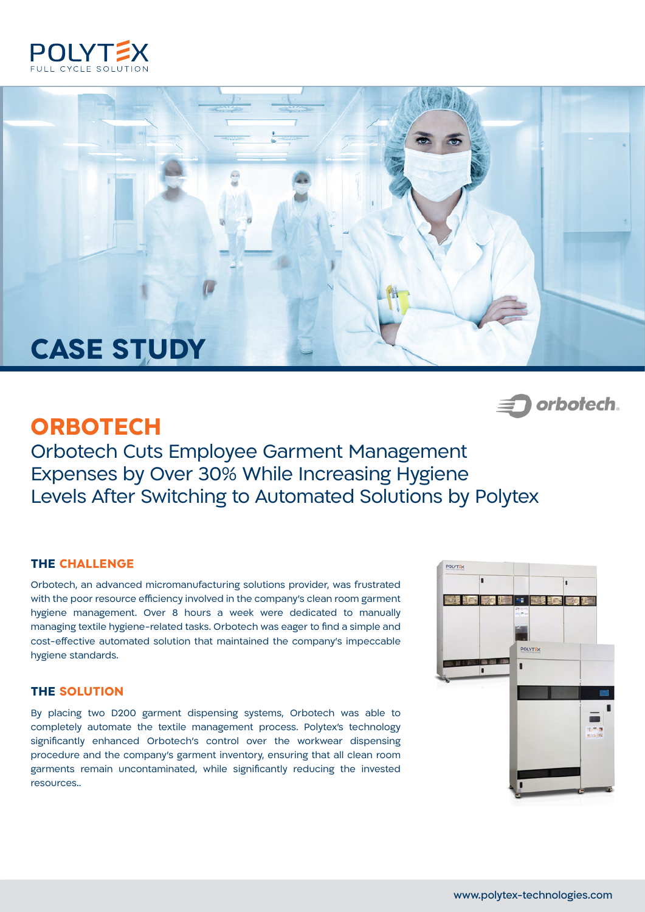



# **ORBOTECH**

 *orbofech~*

Orbotech Cuts Employee Garment Management Expenses by Over 30% While Increasing Hygiene Levels After Switching to Automated Solutions by Polytex

### **THE CHALLENGE**

Orbotech, an advanced micromanufacturing solutions provider, was frustrated with the poor resource efficiency involved in the company's clean room garment hygiene management. Over 8 hours a week were dedicated to manually managing textile hygiene-related tasks. Orbotech was eager to find a simple and cost-effective automated solution that maintained the company's impeccable hygiene standards.

#### **THE SOLUTION**

By placing two D200 garment dispensing systems, Orbotech was able to completely automate the textile management process. Polytex's technology significantly enhanced Orbotech's control over the workwear dispensing procedure and the company's garment inventory, ensuring that all clean room garments remain uncontaminated, while significantly reducing the invested resources..

![](_page_0_Picture_9.jpeg)